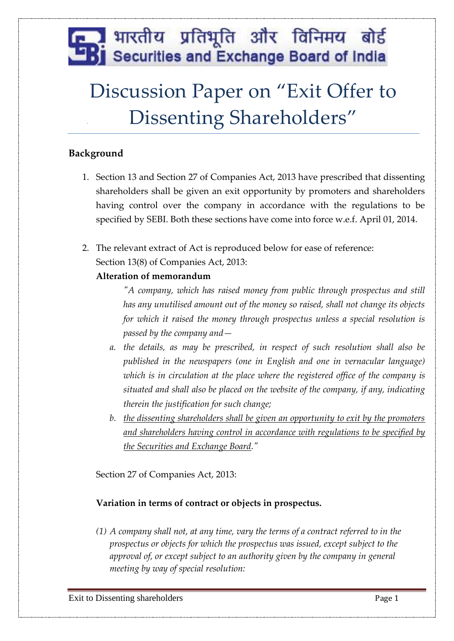## <u>. अ</u> भारतीय प्रतिभूति और विनिमय बोर्ड **B** Securities and Exchange Board of India

# Discussion Paper on "Exit Offer to Dissenting Shareholders"

## **Background**

- 1. Section 13 and Section 27 of Companies Act, 2013 have prescribed that dissenting shareholders shall be given an exit opportunity by promoters and shareholders having control over the company in accordance with the regulations to be specified by SEBI. Both these sections have come into force w.e.f. April 01, 2014.
- 2. The relevant extract of Act is reproduced below for ease of reference: Section 13(8) of Companies Act, 2013:

## **Alteration of memorandum**

*"A company, which has raised money from public through prospectus and still has any unutilised amount out of the money so raised, shall not change its objects for which it raised the money through prospectus unless a special resolution is passed by the company and—*

- *a. the details, as may be prescribed, in respect of such resolution shall also be published in the newspapers (one in English and one in vernacular language) which is in circulation at the place where the registered office of the company is situated and shall also be placed on the website of the company, if any, indicating therein the justification for such change;*
- *b. the dissenting shareholders shall be given an opportunity to exit by the promoters and shareholders having control in accordance with regulations to be specified by the Securities and Exchange Board."*

Section 27 of Companies Act, 2013:

## **Variation in terms of contract or objects in prospectus.**

*(1) A company shall not, at any time, vary the terms of a contract referred to in the prospectus or objects for which the prospectus was issued, except subject to the approval of, or except subject to an authority given by the company in general meeting by way of special resolution:*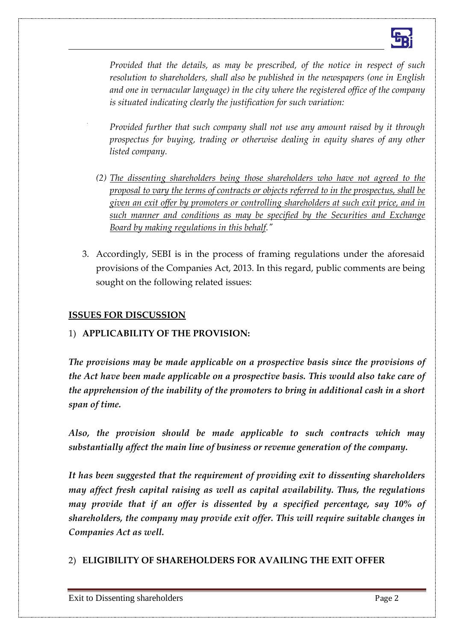

*Provided that the details, as may be prescribed, of the notice in respect of such resolution to shareholders, shall also be published in the newspapers (one in English and one in vernacular language) in the city where the registered office of the company is situated indicating clearly the justification for such variation:*

*Provided further that such company shall not use any amount raised by it through prospectus for buying, trading or otherwise dealing in equity shares of any other listed company.*

- *(2) The dissenting shareholders being those shareholders who have not agreed to the proposal to vary the terms of contracts or objects referred to in the prospectus, shall be given an exit offer by promoters or controlling shareholders at such exit price, and in such manner and conditions as may be specified by the Securities and Exchange Board by making regulations in this behalf."*
- 3. Accordingly, SEBI is in the process of framing regulations under the aforesaid provisions of the Companies Act, 2013. In this regard, public comments are being sought on the following related issues:

#### **ISSUES FOR DISCUSSION**

#### 1) **APPLICABILITY OF THE PROVISION:**

*The provisions may be made applicable on a prospective basis since the provisions of the Act have been made applicable on a prospective basis. This would also take care of the apprehension of the inability of the promoters to bring in additional cash in a short span of time.*

*Also, the provision should be made applicable to such contracts which may substantially affect the main line of business or revenue generation of the company.* 

*It has been suggested that the requirement of providing exit to dissenting shareholders may affect fresh capital raising as well as capital availability. Thus, the regulations may provide that if an offer is dissented by a specified percentage, say 10% of shareholders, the company may provide exit offer. This will require suitable changes in Companies Act as well.*

#### 2) **ELIGIBILITY OF SHAREHOLDERS FOR AVAILING THE EXIT OFFER**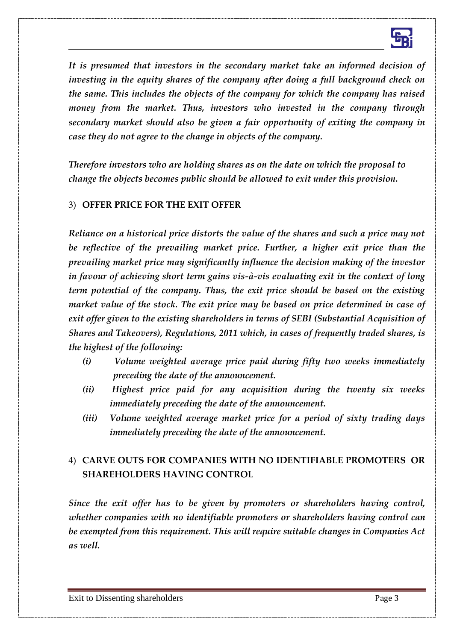

*It is presumed that investors in the secondary market take an informed decision of investing in the equity shares of the company after doing a full background check on the same. This includes the objects of the company for which the company has raised money from the market. Thus, investors who invested in the company through secondary market should also be given a fair opportunity of exiting the company in case they do not agree to the change in objects of the company.* 

*Therefore investors who are holding shares as on the date on which the proposal to change the objects becomes public should be allowed to exit under this provision.*

#### 3) **OFFER PRICE FOR THE EXIT OFFER**

*Reliance on a historical price distorts the value of the shares and such a price may not be reflective of the prevailing market price. Further, a higher exit price than the prevailing market price may significantly influence the decision making of the investor in favour of achieving short term gains vis-à-vis evaluating exit in the context of long term potential of the company. Thus, the exit price should be based on the existing market value of the stock. The exit price may be based on price determined in case of exit offer given to the existing shareholders in terms of SEBI (Substantial Acquisition of Shares and Takeovers), Regulations, 2011 which, in cases of frequently traded shares, is the highest of the following:*

- *(i) Volume weighted average price paid during fifty two weeks immediately preceding the date of the announcement.*
- *(ii) Highest price paid for any acquisition during the twenty six weeks immediately preceding the date of the announcement.*
- *(iii) Volume weighted average market price for a period of sixty trading days immediately preceding the date of the announcement.*

## 4) **CARVE OUTS FOR COMPANIES WITH NO IDENTIFIABLE PROMOTERS OR SHAREHOLDERS HAVING CONTROL**

*Since the exit offer has to be given by promoters or shareholders having control, whether companies with no identifiable promoters or shareholders having control can be exempted from this requirement. This will require suitable changes in Companies Act as well.*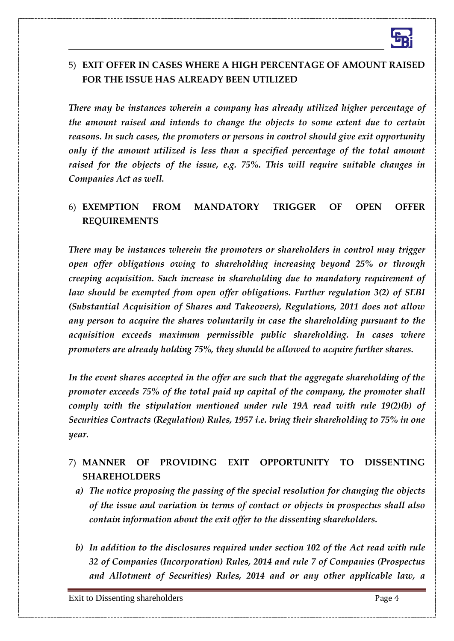

## 5) **EXIT OFFER IN CASES WHERE A HIGH PERCENTAGE OF AMOUNT RAISED FOR THE ISSUE HAS ALREADY BEEN UTILIZED**

*There may be instances wherein a company has already utilized higher percentage of the amount raised and intends to change the objects to some extent due to certain reasons. In such cases, the promoters or persons in control should give exit opportunity only if the amount utilized is less than a specified percentage of the total amount raised for the objects of the issue, e.g. 75%. This will require suitable changes in Companies Act as well.*

## 6) **EXEMPTION FROM MANDATORY TRIGGER OF OPEN OFFER REQUIREMENTS**

*There may be instances wherein the promoters or shareholders in control may trigger open offer obligations owing to shareholding increasing beyond 25% or through creeping acquisition. Such increase in shareholding due to mandatory requirement of law should be exempted from open offer obligations. Further regulation 3(2) of SEBI (Substantial Acquisition of Shares and Takeovers), Regulations, 2011 does not allow any person to acquire the shares voluntarily in case the shareholding pursuant to the acquisition exceeds maximum permissible public shareholding. In cases where promoters are already holding 75%, they should be allowed to acquire further shares.* 

*In the event shares accepted in the offer are such that the aggregate shareholding of the promoter exceeds 75% of the total paid up capital of the company, the promoter shall comply with the stipulation mentioned under rule 19A read with rule 19(2)(b) of Securities Contracts (Regulation) Rules, 1957 i.e. bring their shareholding to 75% in one year.*

## 7) **MANNER OF PROVIDING EXIT OPPORTUNITY TO DISSENTING SHAREHOLDERS**

- *a) The notice proposing the passing of the special resolution for changing the objects of the issue and variation in terms of contact or objects in prospectus shall also contain information about the exit offer to the dissenting shareholders.*
- *b) In addition to the disclosures required under section 102 of the Act read with rule 32 of Companies (Incorporation) Rules, 2014 and rule 7 of Companies (Prospectus and Allotment of Securities) Rules, 2014 and or any other applicable law, a*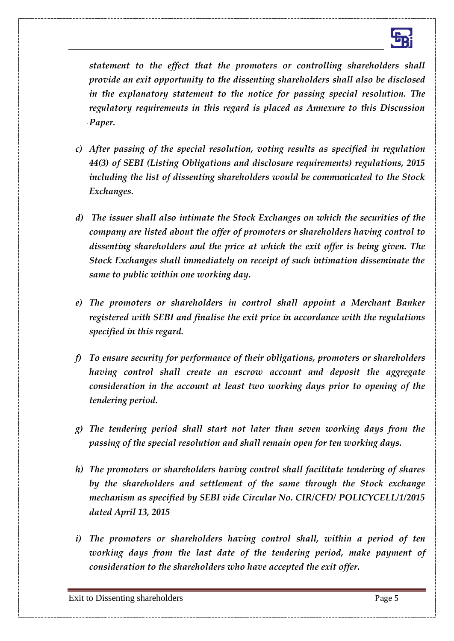

*statement to the effect that the promoters or controlling shareholders shall provide an exit opportunity to the dissenting shareholders shall also be disclosed in the explanatory statement to the notice for passing special resolution. The regulatory requirements in this regard is placed as Annexure to this Discussion Paper.*

- *c) After passing of the special resolution, voting results as specified in regulation 44(3) of SEBI (Listing Obligations and disclosure requirements) regulations, 2015 including the list of dissenting shareholders would be communicated to the Stock Exchanges.*
- *d) The issuer shall also intimate the Stock Exchanges on which the securities of the company are listed about the offer of promoters or shareholders having control to dissenting shareholders and the price at which the exit offer is being given. The Stock Exchanges shall immediately on receipt of such intimation disseminate the same to public within one working day.*
- *e) The promoters or shareholders in control shall appoint a Merchant Banker registered with SEBI and finalise the exit price in accordance with the regulations specified in this regard.*
- *f) To ensure security for performance of their obligations, promoters or shareholders having control shall create an escrow account and deposit the aggregate consideration in the account at least two working days prior to opening of the tendering period.*
- *g) The tendering period shall start not later than seven working days from the passing of the special resolution and shall remain open for ten working days.*
- *h) The promoters or shareholders having control shall facilitate tendering of shares by the shareholders and settlement of the same through the Stock exchange mechanism as specified by SEBI vide Circular No. CIR/CFD/ POLICYCELL/1/2015 dated April 13, 2015*
- *i) The promoters or shareholders having control shall, within a period of ten working days from the last date of the tendering period, make payment of consideration to the shareholders who have accepted the exit offer.*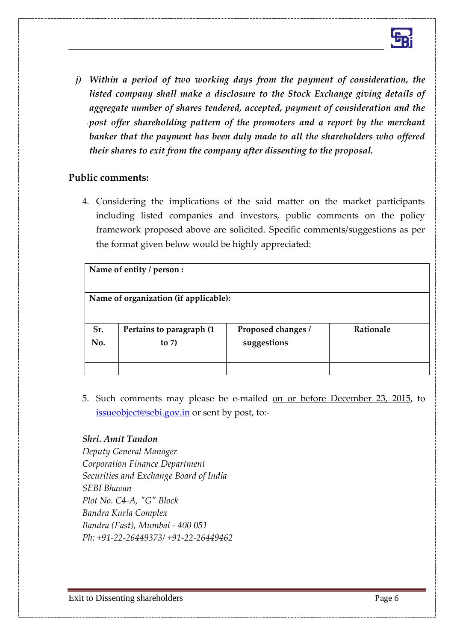

*j) Within a period of two working days from the payment of consideration, the listed company shall make a disclosure to the Stock Exchange giving details of aggregate number of shares tendered, accepted, payment of consideration and the post offer shareholding pattern of the promoters and a report by the merchant*  banker that the payment has been duly made to all the shareholders who offered *their shares to exit from the company after dissenting to the proposal.* 

#### **Public comments:**

4. Considering the implications of the said matter on the market participants including listed companies and investors, public comments on the policy framework proposed above are solicited. Specific comments/suggestions as per the format given below would be highly appreciated:

| Name of entity / person :             |                           |                    |           |
|---------------------------------------|---------------------------|--------------------|-----------|
| Name of organization (if applicable): |                           |                    |           |
| Sr.                                   | Pertains to paragraph (1) | Proposed changes / | Rationale |
| No.                                   | to $7)$                   | suggestions        |           |
|                                       |                           |                    |           |

5. Such comments may please be e-mailed on or before December 23, 2015, to [issueobject@sebi.gov.in](mailto:issueobject@sebi.gov.in) or sent by post, to:-

#### *Shri. Amit Tandon*

*Deputy General Manager Corporation Finance Department Securities and Exchange Board of India SEBI Bhavan Plot No. C4-A, "G" Block Bandra Kurla Complex Bandra (East), Mumbai - 400 051 Ph: +91-22-26449373/ +91-22-26449462*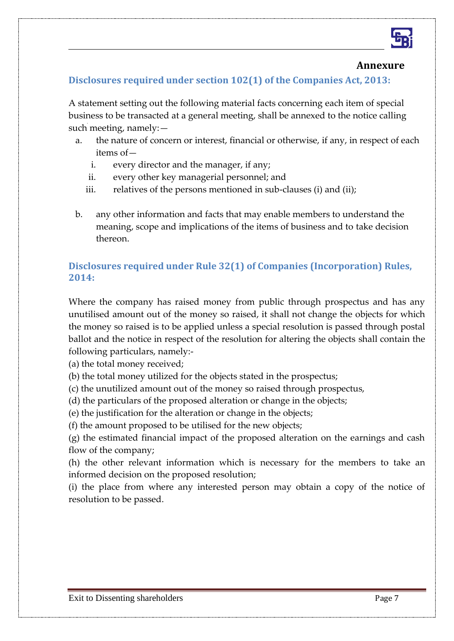

#### **Annexure**

 $\overline{a}$ 

## **Disclosures required under section 102(1) of the Companies Act, 2013:**

A statement setting out the following material facts concerning each item of special business to be transacted at a general meeting, shall be annexed to the notice calling such meeting, namely:—

- a. the nature of concern or interest, financial or otherwise, if any, in respect of each items of
	- i. every director and the manager, if any;
	- ii. every other key managerial personnel; and
	- iii. relatives of the persons mentioned in sub-clauses (i) and (ii);
- b. any other information and facts that may enable members to understand the meaning, scope and implications of the items of business and to take decision thereon.

## **Disclosures required under Rule 32(1) of Companies (Incorporation) Rules, 2014:**

Where the company has raised money from public through prospectus and has any unutilised amount out of the money so raised, it shall not change the objects for which the money so raised is to be applied unless a special resolution is passed through postal ballot and the notice in respect of the resolution for altering the objects shall contain the following particulars, namely:-

(a) the total money received;

(b) the total money utilized for the objects stated in the prospectus;

(c) the unutilized amount out of the money so raised through prospectus,

(d) the particulars of the proposed alteration or change in the objects;

(e) the justification for the alteration or change in the objects;

(f) the amount proposed to be utilised for the new objects;

(g) the estimated financial impact of the proposed alteration on the earnings and cash flow of the company;

(h) the other relevant information which is necessary for the members to take an informed decision on the proposed resolution;

(i) the place from where any interested person may obtain a copy of the notice of resolution to be passed.